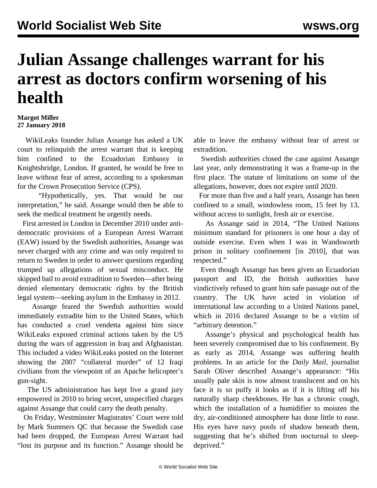## **Julian Assange challenges warrant for his arrest as doctors confirm worsening of his health**

## **Margot Miller 27 January 2018**

 WikiLeaks founder Julian Assange has asked a UK court to relinquish the arrest warrant that is keeping him confined to the Ecuadorian Embassy in Knightsbridge, London. If granted, he would be free to leave without fear of arrest, according to a spokesman for the Crown Prosecution Service (CPS).

 "Hypothetically, yes. That would be our interpretation," he said. Assange would then be able to seek the medical treatment he urgently needs.

 First arrested in London in December 2010 under antidemocratic provisions of a European Arrest Warrant (EAW) issued by the Swedish authorities, Assange was never charged with any crime and was only required to return to Sweden in order to answer questions regarding trumped up allegations of sexual misconduct. He skipped bail to avoid extradition to Sweden—after being denied elementary democratic rights by the British legal system—seeking asylum in the Embassy in 2012.

 Assange feared the Swedish authorities would immediately extradite him to the United States, which has conducted a cruel vendetta against him since WikiLeaks exposed criminal actions taken by the US during the wars of aggression in Iraq and Afghanistan. This included a video WikiLeaks posted on the Internet showing the 2007 "collateral murder" of 12 Iraqi civilians from the viewpoint of an Apache helicopter's gun-sight.

 The US administration has kept live a grand jury empowered in 2010 to bring secret, unspecified charges against Assange that could carry the death penalty.

 On Friday, Westminster Magistrates' Court were told by Mark Summers QC that because the Swedish case had been dropped, the European Arrest Warrant had "lost its purpose and its function." Assange should be able to leave the embassy without fear of arrest or extradition.

 Swedish authorities closed the case against Assange last year, only demonstrating it was a frame-up in the first place. The statute of limitations on some of the allegations, however, does not expire until 2020.

 For more than five and a half years, Assange has been confined to a small, windowless room, 15 feet by 13, without access to sunlight, fresh air or exercise.

 As Assange said in 2014, "The United Nations minimum standard for prisoners is one hour a day of outside exercise. Even when I was in Wandsworth prison in solitary confinement [in 2010], that was respected."

 Even though Assange has been given an Ecuadorian passport and ID, the British authorities have vindictively refused to grant him safe passage out of the country. The UK have acted in violation of international law according to a United Nations panel, which in 2016 declared Assange to be a victim of "arbitrary detention."

 Assange's physical and psychological health has been severely compromised due to his confinement. By as early as 2014, Assange was suffering health problems. In an article for the *Daily Mail,* journalist Sarah Oliver described Assange's appearance: "His usually pale skin is now almost translucent and on his face it is so puffy it looks as if it is lifting off his naturally sharp cheekbones. He has a chronic cough, which the installation of a humidifier to moisten the dry, air-conditioned atmosphere has done little to ease. His eyes have navy pools of shadow beneath them, suggesting that he's shifted from nocturnal to sleepdeprived."